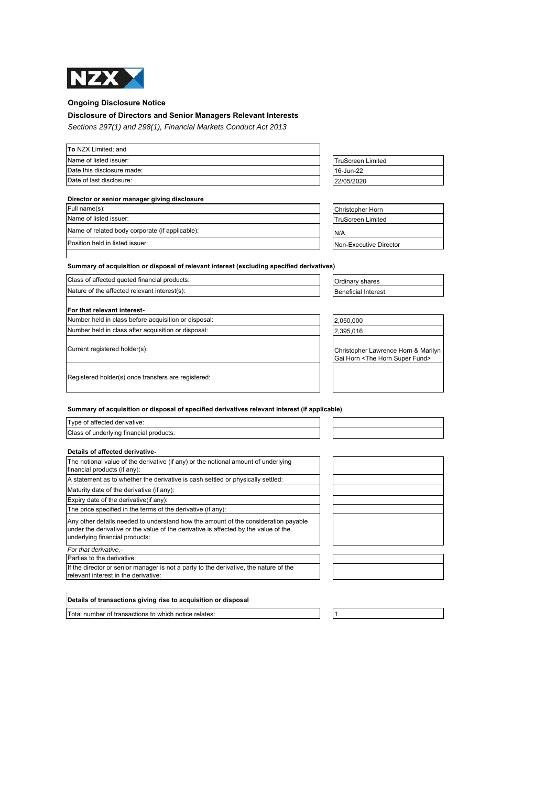

# **Ongoing Disclosure Notice**

## **Disclosure of Directors and Senior Managers Relevant Interests**

*Sections 297(1) and 298(1), Financial Markets Conduct Act 2013*

| Name of listed issuer:     | <b>TruScreen Limited</b> |
|----------------------------|--------------------------|
| Date this disclosure made: | 16-Jun-22                |
| Date of last disclosure:   | 22/05/2020               |

## **Director or senior manager giving disclosure**

| Full name(s):                                   | <b>Christopher Horn</b>  |
|-------------------------------------------------|--------------------------|
| Name of listed issuer:                          | <b>TruScreen Limited</b> |
| Name of related body corporate (if applicable): | N/A                      |
| Position held in listed issuer:                 | Non-Executive Director   |

| TruScreen Limited |  |
|-------------------|--|
| 16-Jun-22         |  |
| 22/05/2020        |  |
|                   |  |

| <b>Christopher Horn</b>  |
|--------------------------|
| <b>TruScreen Limited</b> |
| N/A                      |
| Non-Executive Director   |

**Summary of acquisition or disposal of relevant interest (excluding specified derivatives)** 

| Class of affected quoted financial products:                               | Ordinary shares                                                                      |
|----------------------------------------------------------------------------|--------------------------------------------------------------------------------------|
| Nature of the affected relevant interest(s):<br><b>Beneficial Interest</b> |                                                                                      |
| <b>IFor that relevant interest-</b>                                        |                                                                                      |
| Number held in class before acquisition or disposal:                       | 2,050,000                                                                            |
| Number held in class after acquisition or disposal:                        | 2,395,016                                                                            |
| Current registered holder(s):                                              | Christopher Lawrence Horn & Marilyn<br>Gai Horn <the fund="" horn="" super=""></the> |
| Registered holder(s) once transfers are registered:                        |                                                                                      |

# **Summary of acquisition or disposal of specified derivatives relevant interest (if applicable)**

| Type of affected derivative:            |  |
|-----------------------------------------|--|
| Class of underlying financial products: |  |
|                                         |  |

## **Details of affected derivative-**

| The notional value of the derivative (if any) or the notional amount of underlying<br>financial products (if any):                                                                                          |  |  |
|-------------------------------------------------------------------------------------------------------------------------------------------------------------------------------------------------------------|--|--|
| A statement as to whether the derivative is cash settled or physically settled:                                                                                                                             |  |  |
| Maturity date of the derivative (if any):                                                                                                                                                                   |  |  |
| Expiry date of the derivative (if any):                                                                                                                                                                     |  |  |
| The price specified in the terms of the derivative (if any):                                                                                                                                                |  |  |
| Any other details needed to understand how the amount of the consideration payable<br>under the derivative or the value of the derivative is affected by the value of the<br>underlying financial products: |  |  |
| For that derivative.-                                                                                                                                                                                       |  |  |
| Parties to the derivative:                                                                                                                                                                                  |  |  |
| If the director or senior manager is not a party to the derivative, the nature of the<br>relevant interest in the derivative:                                                                               |  |  |



### **Details of transactions giving rise to acquisition or disposal**

Total number of transactions to which notice relates: 1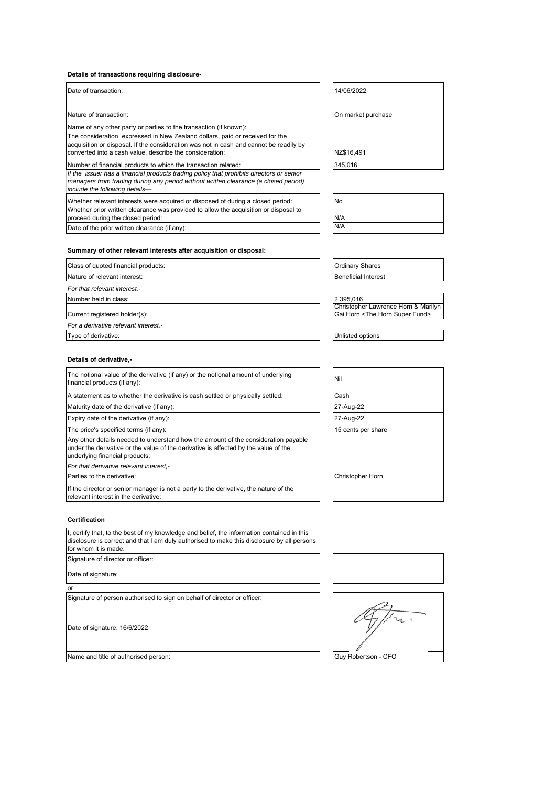## **Details of transactions requiring disclosure-**

| Date of transaction:                                                                                                                                                                                              | 14/06/2022         |
|-------------------------------------------------------------------------------------------------------------------------------------------------------------------------------------------------------------------|--------------------|
|                                                                                                                                                                                                                   |                    |
| Nature of transaction:                                                                                                                                                                                            | On market purchase |
| Name of any other party or parties to the transaction (if known):                                                                                                                                                 |                    |
| The consideration, expressed in New Zealand dollars, paid or received for the<br>acquisition or disposal. If the consideration was not in cash and cannot be readily by                                           |                    |
| converted into a cash value, describe the consideration:                                                                                                                                                          | NZ\$16,491         |
| Number of financial products to which the transaction related:                                                                                                                                                    | 345,016            |
| If the issuer has a financial products trading policy that prohibits directors or senior<br>managers from trading during any period without written clearance (a closed period)<br>include the following details- |                    |
| Whether relevant interests were acquired or disposed of during a closed period:                                                                                                                                   | <b>No</b>          |
| Whether prior written clearance was provided to allow the acquisition or disposal to                                                                                                                              |                    |

| 14/06/2022         |
|--------------------|
|                    |
| On market purchase |
|                    |
|                    |
| NZ\$16,491         |
| 245.016            |

| No  |  |  |
|-----|--|--|
| N/A |  |  |
| N/A |  |  |

## **Summary of other relevant interests after acquisition or disposal:**

| Class of quoted financial products:  | <b>Ordinary Shares</b>                        |
|--------------------------------------|-----------------------------------------------|
| Nature of relevant interest:         | <b>Beneficial Interest</b>                    |
| For that relevant interest,-         |                                               |
| Number held in class:                | 2,395,016                                     |
|                                      | Christopher Lawrence Horn & Marilyn           |
| Current registered holder(s):        | Gai Horn <the fund="" horn="" super=""></the> |
| For a derivative relevant interest,- |                                               |
| Type of derivative:                  | Unlisted options                              |

### **Details of derivative,-**

proceed during the closed period: Date of the prior written clearance (if any):

| The notional value of the derivative (if any) or the notional amount of underlying<br>financial products (if any):                                                                                          | Nil                     |
|-------------------------------------------------------------------------------------------------------------------------------------------------------------------------------------------------------------|-------------------------|
| A statement as to whether the derivative is cash settled or physically settled:                                                                                                                             | Cash                    |
| Maturity date of the derivative (if any):                                                                                                                                                                   | 27-Aug-22               |
| Expiry date of the derivative (if any):                                                                                                                                                                     | 27-Aug-22               |
| The price's specified terms (if any):                                                                                                                                                                       | 15 cents per share      |
| Any other details needed to understand how the amount of the consideration payable<br>under the derivative or the value of the derivative is affected by the value of the<br>underlying financial products: |                         |
| For that derivative relevant interest.-                                                                                                                                                                     |                         |
| Parties to the derivative:                                                                                                                                                                                  | <b>Christopher Horn</b> |
| If the director or senior manager is not a party to the derivative, the nature of the<br>relevant interest in the derivative:                                                                               |                         |

| 27-Aug-22          |  |
|--------------------|--|
| 27-Aug-22          |  |
| 15 cents per share |  |
|                    |  |
|                    |  |
|                    |  |
| Christopher Horn   |  |

I, certify that, to the best of my knowledge and belief, the information contained in this disclosure is correct and that I am duly authorised to make this disclosure by all persons for whom it is made.

Signature of director or officer:

Date of signature:

**Certification**

or

Signature of person authorised to sign on behalf of director or officer:

Date of signature: 16/6/2022



fr. Name and title of authorised person: Guy Robertson - CFO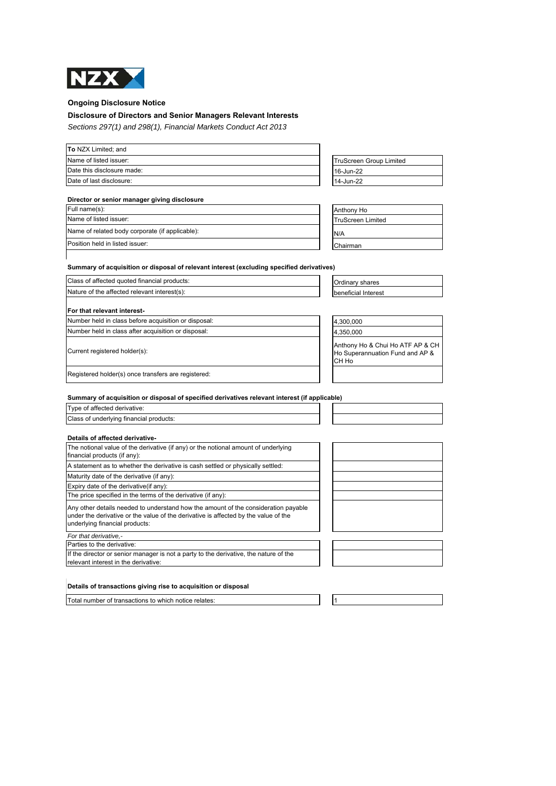

## **Ongoing Disclosure Notice**

### **Disclosure of Directors and Senior Managers Relevant Interests**

*Sections 297(1) and 298(1), Financial Markets Conduct Act 2013*

| To NZX Limited; and        |                                |
|----------------------------|--------------------------------|
| Name of listed issuer:     | <b>TruScreen Group Limited</b> |
| Date this disclosure made: | 16-Jun-22                      |
| Date of last disclosure:   | 14-Jun-22                      |

## **Director or senior manager giving disclosure**

| Full name(s):                                   | Anthony Ho               |
|-------------------------------------------------|--------------------------|
| Name of listed issuer:                          | <b>TruScreen Limited</b> |
| Name of related body corporate (if applicable): | N/A                      |
| Position held in listed issuer:                 | Chairman                 |

| TruScreen Group Limited |
|-------------------------|
| 16-Jun-22               |
| 14-Jun-22               |
|                         |

| Anthony Ho               |
|--------------------------|
| <b>TruScreen Limited</b> |
| N/A                      |
| Chairman                 |

### **Summary of acquisition or disposal of relevant interest (excluding specified derivatives)**

| Class of affected quoted financial products:         | Ordinary shares                                                              |  |
|------------------------------------------------------|------------------------------------------------------------------------------|--|
| Nature of the affected relevant interest(s):         | beneficial Interest                                                          |  |
| For that relevant interest-                          |                                                                              |  |
| Number held in class before acquisition or disposal: | 4,300,000                                                                    |  |
| Number held in class after acquisition or disposal:  | 4,350,000                                                                    |  |
| Current registered holder(s):                        | Anthony Ho & Chui Ho ATF AP & CH<br>Ho Superannuation Fund and AP &<br>CH Ho |  |

Registered holder(s) once transfers are registered:

### **Summary of acquisition or disposal of specified derivatives relevant interest (if applicable)**

Type of affected derivative: Class of underlying financial products:

## **Details of affected derivative-**

| Details of allected derivative-                                                                                                                                                                             |  |
|-------------------------------------------------------------------------------------------------------------------------------------------------------------------------------------------------------------|--|
| The notional value of the derivative (if any) or the notional amount of underlying<br>financial products (if any):                                                                                          |  |
| A statement as to whether the derivative is cash settled or physically settled:                                                                                                                             |  |
| Maturity date of the derivative (if any):                                                                                                                                                                   |  |
| Expiry date of the derivative (if any):                                                                                                                                                                     |  |
| The price specified in the terms of the derivative (if any):                                                                                                                                                |  |
| Any other details needed to understand how the amount of the consideration payable<br>under the derivative or the value of the derivative is affected by the value of the<br>underlying financial products: |  |
| For that derivative,-                                                                                                                                                                                       |  |
| Parties to the derivative:                                                                                                                                                                                  |  |
| If the director or senior manager is not a party to the derivative, the nature of the<br>relevant interest in the derivative:                                                                               |  |

## **Details of transactions giving rise to acquisition or disposal**

Total number of transactions to which notice relates: 1